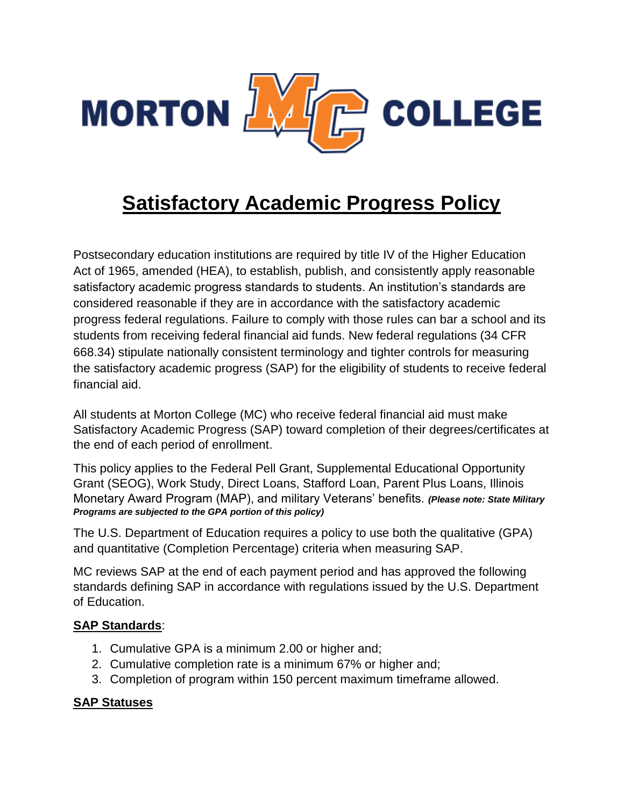

# **Satisfactory Academic Progress Policy**

Postsecondary education institutions are required by title IV of the Higher Education Act of 1965, amended (HEA), to establish, publish, and consistently apply reasonable satisfactory academic progress standards to students. An institution's standards are considered reasonable if they are in accordance with the satisfactory academic progress federal regulations. Failure to comply with those rules can bar a school and its students from receiving federal financial aid funds. New federal regulations (34 CFR 668.34) stipulate nationally consistent terminology and tighter controls for measuring the satisfactory academic progress (SAP) for the eligibility of students to receive federal financial aid.

All students at Morton College (MC) who receive federal financial aid must make Satisfactory Academic Progress (SAP) toward completion of their degrees/certificates at the end of each period of enrollment.

This policy applies to the Federal Pell Grant, Supplemental Educational Opportunity Grant (SEOG), Work Study, Direct Loans, Stafford Loan, Parent Plus Loans, Illinois Monetary Award Program (MAP), and military Veterans' benefits. *(Please note: State Military Programs are subjected to the GPA portion of this policy)*

The U.S. Department of Education requires a policy to use both the qualitative (GPA) and quantitative (Completion Percentage) criteria when measuring SAP.

MC reviews SAP at the end of each payment period and has approved the following standards defining SAP in accordance with regulations issued by the U.S. Department of Education.

# **SAP Standards**:

- 1. Cumulative GPA is a minimum 2.00 or higher and;
- 2. Cumulative completion rate is a minimum 67% or higher and;
- 3. Completion of program within 150 percent maximum timeframe allowed.

# **SAP Statuses**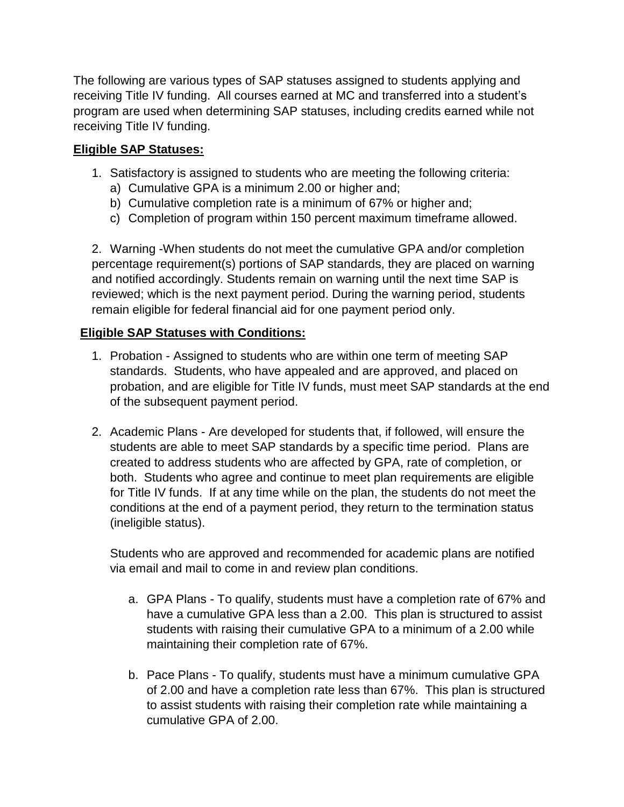The following are various types of SAP statuses assigned to students applying and receiving Title IV funding. All courses earned at MC and transferred into a student's program are used when determining SAP statuses, including credits earned while not receiving Title IV funding.

# **Eligible SAP Statuses:**

- 1. Satisfactory is assigned to students who are meeting the following criteria:
	- a) Cumulative GPA is a minimum 2.00 or higher and;
	- b) Cumulative completion rate is a minimum of 67% or higher and;
	- c) Completion of program within 150 percent maximum timeframe allowed.

2. Warning -When students do not meet the cumulative GPA and/or completion percentage requirement(s) portions of SAP standards, they are placed on warning and notified accordingly. Students remain on warning until the next time SAP is reviewed; which is the next payment period. During the warning period, students remain eligible for federal financial aid for one payment period only.

# **Eligible SAP Statuses with Conditions:**

- 1. Probation Assigned to students who are within one term of meeting SAP standards. Students, who have appealed and are approved, and placed on probation, and are eligible for Title IV funds, must meet SAP standards at the end of the subsequent payment period.
- 2. Academic Plans Are developed for students that, if followed, will ensure the students are able to meet SAP standards by a specific time period. Plans are created to address students who are affected by GPA, rate of completion, or both. Students who agree and continue to meet plan requirements are eligible for Title IV funds. If at any time while on the plan, the students do not meet the conditions at the end of a payment period, they return to the termination status (ineligible status).

Students who are approved and recommended for academic plans are notified via email and mail to come in and review plan conditions.

- a. GPA Plans To qualify, students must have a completion rate of 67% and have a cumulative GPA less than a 2.00. This plan is structured to assist students with raising their cumulative GPA to a minimum of a 2.00 while maintaining their completion rate of 67%.
- b. Pace Plans To qualify, students must have a minimum cumulative GPA of 2.00 and have a completion rate less than 67%. This plan is structured to assist students with raising their completion rate while maintaining a cumulative GPA of 2.00.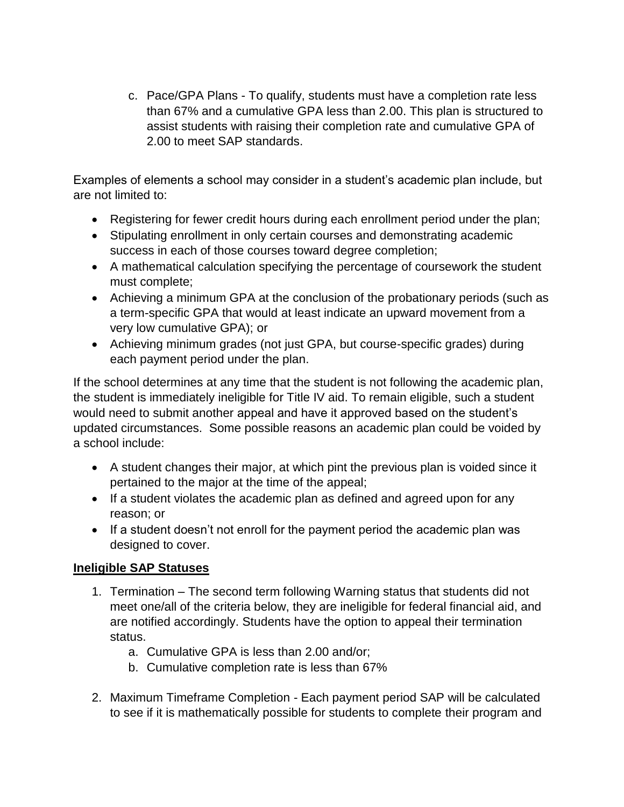c. Pace/GPA Plans - To qualify, students must have a completion rate less than 67% and a cumulative GPA less than 2.00. This plan is structured to assist students with raising their completion rate and cumulative GPA of 2.00 to meet SAP standards.

Examples of elements a school may consider in a student's academic plan include, but are not limited to:

- Registering for fewer credit hours during each enrollment period under the plan;
- Stipulating enrollment in only certain courses and demonstrating academic success in each of those courses toward degree completion;
- A mathematical calculation specifying the percentage of coursework the student must complete;
- Achieving a minimum GPA at the conclusion of the probationary periods (such as a term-specific GPA that would at least indicate an upward movement from a very low cumulative GPA); or
- Achieving minimum grades (not just GPA, but course-specific grades) during each payment period under the plan.

If the school determines at any time that the student is not following the academic plan, the student is immediately ineligible for Title IV aid. To remain eligible, such a student would need to submit another appeal and have it approved based on the student's updated circumstances. Some possible reasons an academic plan could be voided by a school include:

- A student changes their major, at which pint the previous plan is voided since it pertained to the major at the time of the appeal;
- If a student violates the academic plan as defined and agreed upon for any reason; or
- If a student doesn't not enroll for the payment period the academic plan was designed to cover.

# **Ineligible SAP Statuses**

- 1. Termination The second term following Warning status that students did not meet one/all of the criteria below, they are ineligible for federal financial aid, and are notified accordingly. Students have the option to appeal their termination status.
	- a. Cumulative GPA is less than 2.00 and/or;
	- b. Cumulative completion rate is less than 67%
- 2. Maximum Timeframe Completion Each payment period SAP will be calculated to see if it is mathematically possible for students to complete their program and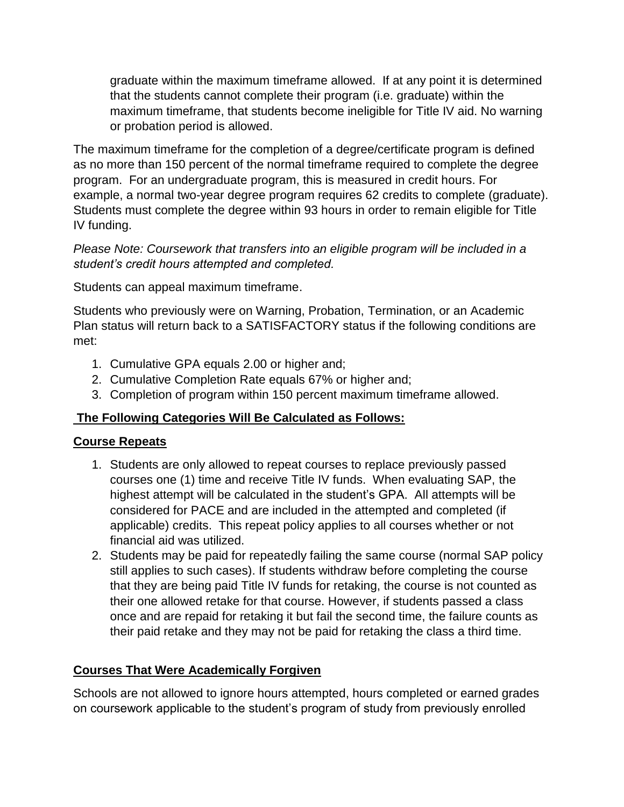graduate within the maximum timeframe allowed. If at any point it is determined that the students cannot complete their program (i.e. graduate) within the maximum timeframe, that students become ineligible for Title IV aid. No warning or probation period is allowed.

The maximum timeframe for the completion of a degree/certificate program is defined as no more than 150 percent of the normal timeframe required to complete the degree program. For an undergraduate program, this is measured in credit hours. For example, a normal two-year degree program requires 62 credits to complete (graduate). Students must complete the degree within 93 hours in order to remain eligible for Title IV funding.

*Please Note: Coursework that transfers into an eligible program will be included in a student's credit hours attempted and completed.* 

Students can appeal maximum timeframe.

Students who previously were on Warning, Probation, Termination, or an Academic Plan status will return back to a SATISFACTORY status if the following conditions are met:

- 1. Cumulative GPA equals 2.00 or higher and;
- 2. Cumulative Completion Rate equals 67% or higher and;
- 3. Completion of program within 150 percent maximum timeframe allowed.

# **The Following Categories Will Be Calculated as Follows:**

# **Course Repeats**

- 1. Students are only allowed to repeat courses to replace previously passed courses one (1) time and receive Title IV funds. When evaluating SAP, the highest attempt will be calculated in the student's GPA. All attempts will be considered for PACE and are included in the attempted and completed (if applicable) credits. This repeat policy applies to all courses whether or not financial aid was utilized.
- 2. Students may be paid for repeatedly failing the same course (normal SAP policy still applies to such cases). If students withdraw before completing the course that they are being paid Title IV funds for retaking, the course is not counted as their one allowed retake for that course. However, if students passed a class once and are repaid for retaking it but fail the second time, the failure counts as their paid retake and they may not be paid for retaking the class a third time.

# **Courses That Were Academically Forgiven**

Schools are not allowed to ignore hours attempted, hours completed or earned grades on coursework applicable to the student's program of study from previously enrolled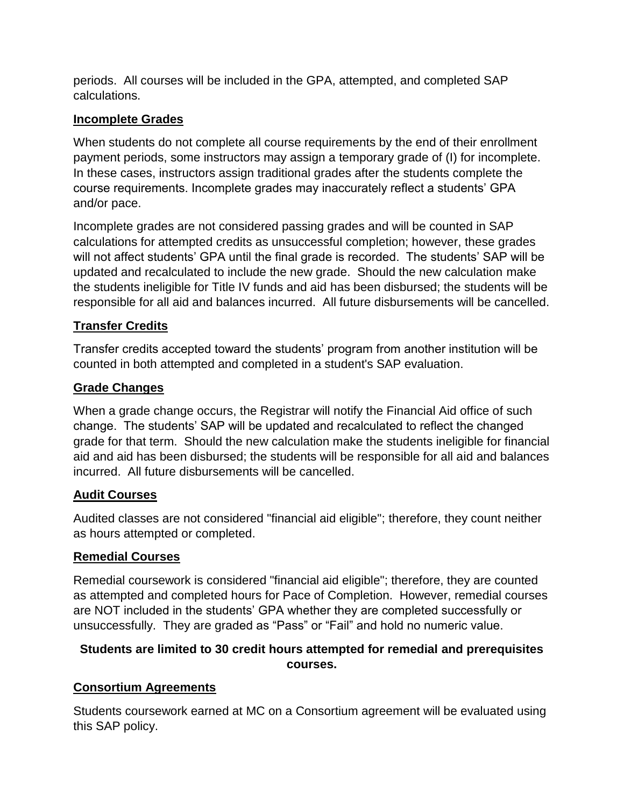periods. All courses will be included in the GPA, attempted, and completed SAP calculations.

# **Incomplete Grades**

When students do not complete all course requirements by the end of their enrollment payment periods, some instructors may assign a temporary grade of (I) for incomplete. In these cases, instructors assign traditional grades after the students complete the course requirements. Incomplete grades may inaccurately reflect a students' GPA and/or pace.

Incomplete grades are not considered passing grades and will be counted in SAP calculations for attempted credits as unsuccessful completion; however, these grades will not affect students' GPA until the final grade is recorded. The students' SAP will be updated and recalculated to include the new grade. Should the new calculation make the students ineligible for Title IV funds and aid has been disbursed; the students will be responsible for all aid and balances incurred. All future disbursements will be cancelled.

# **Transfer Credits**

Transfer credits accepted toward the students' program from another institution will be counted in both attempted and completed in a student's SAP evaluation.

# **Grade Changes**

When a grade change occurs, the Registrar will notify the Financial Aid office of such change. The students' SAP will be updated and recalculated to reflect the changed grade for that term. Should the new calculation make the students ineligible for financial aid and aid has been disbursed; the students will be responsible for all aid and balances incurred. All future disbursements will be cancelled.

# **Audit Courses**

Audited classes are not considered "financial aid eligible"; therefore, they count neither as hours attempted or completed.

# **Remedial Courses**

Remedial coursework is considered "financial aid eligible"; therefore, they are counted as attempted and completed hours for Pace of Completion. However, remedial courses are NOT included in the students' GPA whether they are completed successfully or unsuccessfully. They are graded as "Pass" or "Fail" and hold no numeric value.

# **Students are limited to 30 credit hours attempted for remedial and prerequisites courses.**

# **Consortium Agreements**

Students coursework earned at MC on a Consortium agreement will be evaluated using this SAP policy.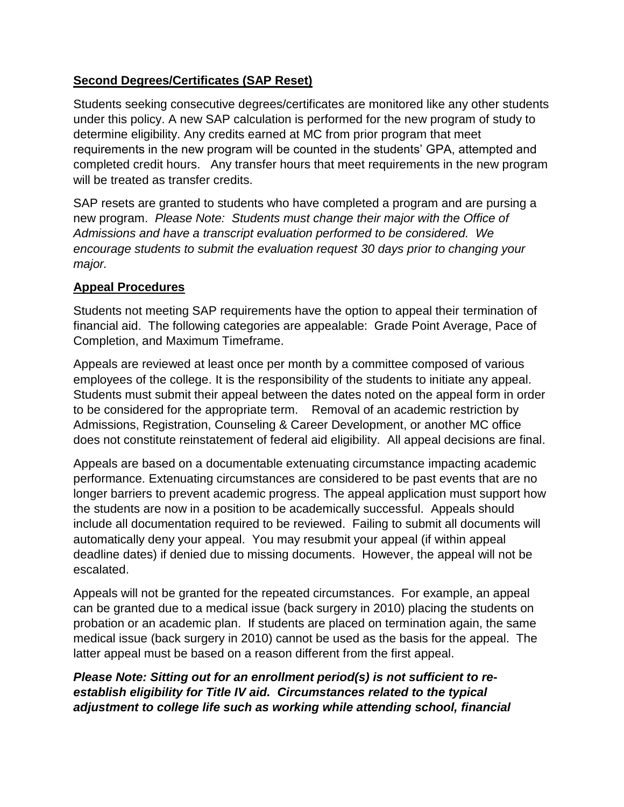# **Second Degrees/Certificates (SAP Reset)**

Students seeking consecutive degrees/certificates are monitored like any other students under this policy. A new SAP calculation is performed for the new program of study to determine eligibility. Any credits earned at MC from prior program that meet requirements in the new program will be counted in the students' GPA, attempted and completed credit hours. Any transfer hours that meet requirements in the new program will be treated as transfer credits.

SAP resets are granted to students who have completed a program and are pursing a new program. *Please Note: Students must change their major with the Office of Admissions and have a transcript evaluation performed to be considered. We encourage students to submit the evaluation request 30 days prior to changing your major.*

#### **Appeal Procedures**

Students not meeting SAP requirements have the option to appeal their termination of financial aid. The following categories are appealable: Grade Point Average, Pace of Completion, and Maximum Timeframe.

Appeals are reviewed at least once per month by a committee composed of various employees of the college. It is the responsibility of the students to initiate any appeal. Students must submit their appeal between the dates noted on the appeal form in order to be considered for the appropriate term. Removal of an academic restriction by Admissions, Registration, Counseling & Career Development, or another MC office does not constitute reinstatement of federal aid eligibility. All appeal decisions are final.

Appeals are based on a documentable extenuating circumstance impacting academic performance. Extenuating circumstances are considered to be past events that are no longer barriers to prevent academic progress. The appeal application must support how the students are now in a position to be academically successful. Appeals should include all documentation required to be reviewed. Failing to submit all documents will automatically deny your appeal. You may resubmit your appeal (if within appeal deadline dates) if denied due to missing documents. However, the appeal will not be escalated.

Appeals will not be granted for the repeated circumstances. For example, an appeal can be granted due to a medical issue (back surgery in 2010) placing the students on probation or an academic plan. If students are placed on termination again, the same medical issue (back surgery in 2010) cannot be used as the basis for the appeal. The latter appeal must be based on a reason different from the first appeal.

# *Please Note: Sitting out for an enrollment period(s) is not sufficient to reestablish eligibility for Title IV aid. Circumstances related to the typical adjustment to college life such as working while attending school, financial*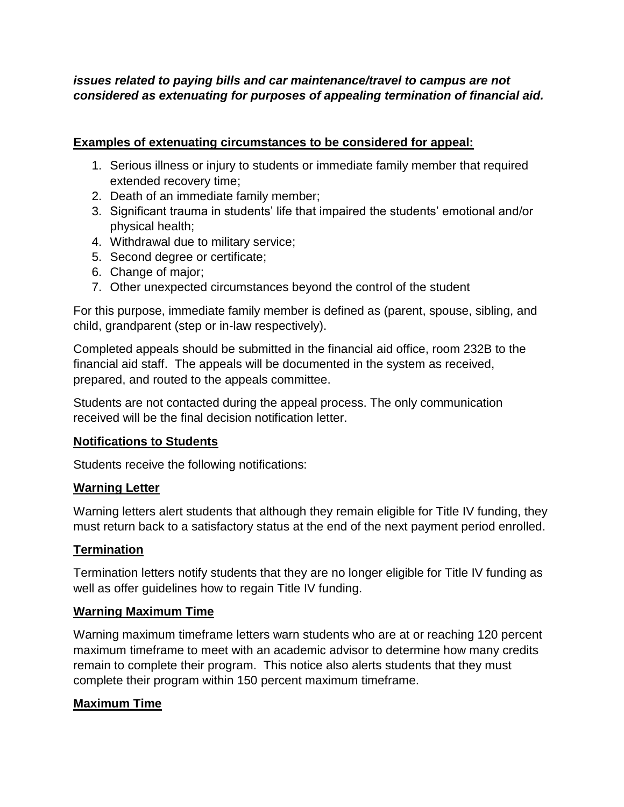# *issues related to paying bills and car maintenance/travel to campus are not considered as extenuating for purposes of appealing termination of financial aid.*

### **Examples of extenuating circumstances to be considered for appeal:**

- 1. Serious illness or injury to students or immediate family member that required extended recovery time;
- 2. Death of an immediate family member;
- 3. Significant trauma in students' life that impaired the students' emotional and/or physical health;
- 4. Withdrawal due to military service;
- 5. Second degree or certificate;
- 6. Change of major;
- 7. Other unexpected circumstances beyond the control of the student

For this purpose, immediate family member is defined as (parent, spouse, sibling, and child, grandparent (step or in-law respectively).

Completed appeals should be submitted in the financial aid office, room 232B to the financial aid staff. The appeals will be documented in the system as received, prepared, and routed to the appeals committee.

Students are not contacted during the appeal process. The only communication received will be the final decision notification letter.

#### **Notifications to Students**

Students receive the following notifications:

#### **Warning Letter**

Warning letters alert students that although they remain eligible for Title IV funding, they must return back to a satisfactory status at the end of the next payment period enrolled.

#### **Termination**

Termination letters notify students that they are no longer eligible for Title IV funding as well as offer guidelines how to regain Title IV funding.

#### **Warning Maximum Time**

Warning maximum timeframe letters warn students who are at or reaching 120 percent maximum timeframe to meet with an academic advisor to determine how many credits remain to complete their program. This notice also alerts students that they must complete their program within 150 percent maximum timeframe.

# **Maximum Time**